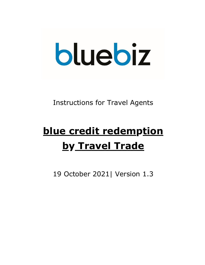# bluebiz

# Instructions for Travel Agents

# **blue credit redemption by Travel Trade**

19 October 2021| Version 1.3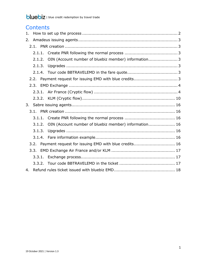# **Contents**

| 1. |        |                                                       |  |
|----|--------|-------------------------------------------------------|--|
| 2. |        |                                                       |  |
|    |        |                                                       |  |
|    | 2.1.1. |                                                       |  |
|    | 2.1.2. | OIN (Account number of bluebiz member) information 3  |  |
|    | 2.1.3. |                                                       |  |
|    |        |                                                       |  |
|    | 2.2.   |                                                       |  |
|    | 2.3.   |                                                       |  |
|    | 2.3.1. |                                                       |  |
|    | 2.3.2. |                                                       |  |
| 3. |        |                                                       |  |
|    |        |                                                       |  |
|    |        |                                                       |  |
|    | 3.1.1. |                                                       |  |
|    | 3.1.2. | OIN (Account number of bluebiz member) information 16 |  |
|    | 3.1.3. |                                                       |  |
|    | 3.1.4. |                                                       |  |
|    | 3.2.   | Payment request for issuing EMD with blue credits 16  |  |
|    | 3.3.   |                                                       |  |
|    | 3.3.1. |                                                       |  |
|    | 3.3.2. |                                                       |  |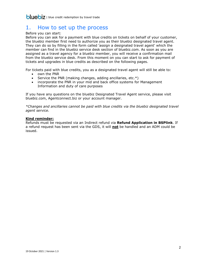# <span id="page-2-0"></span>1. How to set up the process

Before you can start:

Before you can ask for a payment with blue credits on tickets on behalf of your customer, the bluebiz member first need to authorize you as their bluebiz designated travel agent. They can do so by filling in the form called 'assign a designated travel agent' which the member can find in the bluebiz service desk section of bluebiz.com. As soon as you are assigned as a travel agency for a bluebiz member, you will receive a confirmation mail from the bluebiz service desk. From this moment on you can start to ask for payment of tickets and upgrades in blue credits as described on the following pages.

For tickets paid with blue credits, you as a designated travel agent will still be able to:

- own the PNR
- Service the PNR (making changes, adding ancillaries, etc. $*)$
- incorporate the PNR in your mid and back office systems for Management Information and duty of care purposes

If you have any questions on the bluebiz Designated Travel Agent service, please visit bluebiz.com, Agentconnect.biz or your account manager.

*\*Changes and ancillaries cannot be paid with blue credits via the bluebiz designated travel agent service.* 

### **Kind reminder:**

Refunds must be requested via an Indirect refund via **Refund Application in BSPlink**. If a refund request has been sent via the GDS, it will **not** be handled and an ADM could be issued.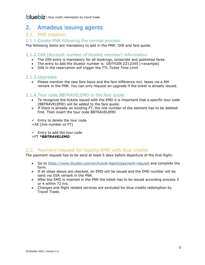# <span id="page-3-0"></span>2. Amadeus issuing agents

### <span id="page-3-1"></span>2.1. PNR creation

### <span id="page-3-2"></span>2.1.1.Create PNR following the normal process

The following items are mandatory to add in the PNR: OIN and fare quote.

### <span id="page-3-3"></span>2.1.2.OIN (Account number of bluebiz member) information

- The OIN entry is mandatory for all bookings, corporate and published fares.
- The entry to add the bluebiz number is:  $\overline{OSYYOIN}$  ZZ12345 (=example)
- OIN in the reservation will trigger the TTL *Ticket Time Limit*

### <span id="page-3-4"></span>2.1.3.Upgrades

 Please mention the new fare basis and the fare difference incl. taxes via a RM remark in the PNR. You can only request an upgrade if the ticket is already issued.

### <span id="page-3-5"></span>2.1.4.Tour code BBTRAVELEMD in the fare quote

- To recognize the tickets issued with the EMD it is important that a specific tour code (BBTRAVELEMD) will be added to the fare quote.
- If there is already an existing FT, the line number of the element has to be deleted first. Then insert the tour code BBTRAVELEMD

 $\checkmark$  Entry to delete the tour code >XE [line number or FT]

 $\checkmark$  Entry to add the tour code >FT *\*BBTRAVELEMD*

### <span id="page-3-6"></span>2.2. Payment request for issuing EMD with blue credits

The payment request has to be send at least 5 days before departure of the first flight:

- Go to<https://www.bluebiz.com/en/travel-Agent/payment-request> and complete the form.
- If all steps above are checked, an EMD will be issued and the EMD number will be send via SSR remark in the PNR.
- After the EMD is inserted in the PNR the ticket has to be issued according process 3 or 4 within 72 hrs.
- Changes and flight related services are excluded for blue credits redemption by Travel Trade.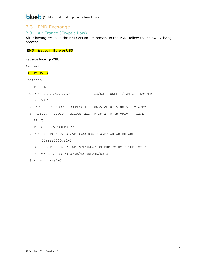### <span id="page-4-0"></span>2.3. EMD Exchange

### <span id="page-4-1"></span>2.3.1.Air France (Cryptic flow)

After having received the EMD via an RM remark in the PNR, follow the below exchange process.

### **EMD = issued in Euro or USD**

Retrieve booking PNR.

Request

### **> RTN9TVKB**

|               | TST RLR                                                    |                  |                                               |  |  |                                              |                           |
|---------------|------------------------------------------------------------|------------------|-----------------------------------------------|--|--|----------------------------------------------|---------------------------|
|               | RP/CDGAF00CT/CDGAF00CT                                     |                  |                                               |  |  |                                              | 22/SU 8SEP17/1241Z N9TVKB |
|               | 1.BBEV/AF                                                  |                  |                                               |  |  |                                              |                           |
| $\mathcal{L}$ |                                                            |                  | AF7700 T 150CT 7 CDGNCE HK1 0635 2F 0715 0845 |  |  |                                              | $*1A/E*$                  |
| $\mathcal{S}$ |                                                            |                  |                                               |  |  | AF6207 V 220CT 7 NCEORY HK1 0715 2 0745 0910 | $*1A/E*$                  |
| 4             | AP NC                                                      |                  |                                               |  |  |                                              |                           |
|               | 5 TK OK08SEP/CDGAF00CT                                     |                  |                                               |  |  |                                              |                           |
|               | 6 OPW-08SEP:1500/1C7/AF REOUIRES TICKET ON OR BEFORE       |                  |                                               |  |  |                                              |                           |
|               |                                                            | 11SEP: 1500/S2-3 |                                               |  |  |                                              |                           |
|               | 7 OPC-11SEP:1500/1C8/AF CANCELLATION DUE TO NO TICKET/S2-3 |                  |                                               |  |  |                                              |                           |
| 8             | FE PAX CHGT RESTRICTED/NO REFUND/S2-3                      |                  |                                               |  |  |                                              |                           |
| 9             | $FV$ PAX AF/S2-3                                           |                  |                                               |  |  |                                              |                           |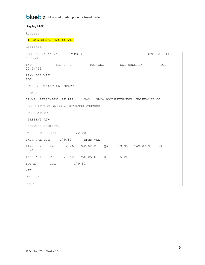### Display EMD

Request

### **> EWD/EMD057-8247441241**

```
EMD-0578247441241 TYPE-S SYS-1A LOC-
N9UBBM
INT- FCI-1 1 POI-CDG DOI-08SEP17 IOI-
20494795
PAX- BBEV/AF 
ADT
RFIC-D FINANCIAL IMPACT
REMARKS-
CPN-1 RFISC-BEV AF PAR S-O SAC- 0571NJXX8OK0P VALUE-122.00
DESCRIPTION-BLUEBIZ EXCHANGE VOUCHER
PRESENT TO-
PRESENT AT-
SERVICE REMARKS-
FARE F EUR 122.00
EXCH VAL EUR 179.83 RFND VAL
TAX-01 X IZ 2.26 TAX-02 X QW 19.95 TAX-03 X FR 
8.96
TAX-04 X FR 21.40 TAX-05 X UI 5.26
TOTAL EUR 179.83
/FC
FP ER169
FOID-
```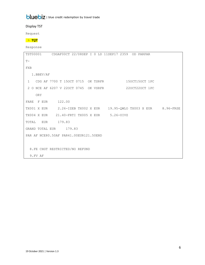Display TST

Request

### > **TQT**

|                                        | TST00001 CDGAF00CT 22/08SEP I 0 LD 11SEP17 2359 OD PARPAR |  |                |  |
|----------------------------------------|-----------------------------------------------------------|--|----------------|--|
| $T -$                                  |                                                           |  |                |  |
| <b>FXB</b>                             |                                                           |  |                |  |
| 1.BBEV/AF                              |                                                           |  |                |  |
|                                        | 1 CDG AF 7700 T 150CT 0715 OK TSRFR                       |  | 150CT150CT 1PC |  |
|                                        | 2 O NCE AF 6207 V 220CT 0745 OK VSRFR                     |  | 220CT220CT 1PC |  |
| <b>ORY</b>                             |                                                           |  |                |  |
| FARE F EUR 122.00                      |                                                           |  |                |  |
|                                        |                                                           |  |                |  |
|                                        | TX004 X EUR 21.40-FRTI TX005 X EUR 5.26-UIVZ              |  |                |  |
| EUR<br>TOTAL                           | 179.83                                                    |  |                |  |
|                                        | GRAND TOTAL EUR 179.83                                    |  |                |  |
| PAR AF NCE80.50AF PAR41.00EUR121.50END |                                                           |  |                |  |
|                                        |                                                           |  |                |  |
|                                        | 8. FE CHGT RESTRICTED/NO REFUND                           |  |                |  |
| 9. FV AF                               |                                                           |  |                |  |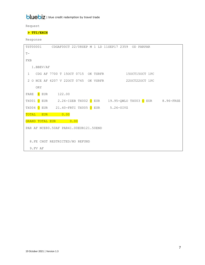Request

### **> TTI/EXCH**

|                        |                                              | TST00001 CDGAF00CT 22/08SEP M 1 LD 11SEP17 2359 OD PARPAR          |  |
|------------------------|----------------------------------------------|--------------------------------------------------------------------|--|
| $T -$                  |                                              |                                                                    |  |
| <b>FXB</b>             |                                              |                                                                    |  |
| 1.BBEV/AF              |                                              |                                                                    |  |
|                        |                                              | 1 CDG AF 7700 T 150CT 0715 OK TSRFR 150CT150CT 1PC                 |  |
|                        |                                              | 2 O NCE AF 6207 V 220CT 0745 OK VSRFR 220CT220CT 1PC               |  |
| ORY                    |                                              |                                                                    |  |
| FARE R EUR 122.00      |                                              |                                                                    |  |
|                        |                                              | TX001 0 EUR 2.26-IZEB TX002 0 EUR 19.95-QWLO TX003 0 EUR 8.96-FRSE |  |
|                        | TX004 O EUR 21.40-FRTI TX005 O EUR 5.26-UIVZ |                                                                    |  |
| TOTAL<br><b>EUR</b>    | 0.00                                         |                                                                    |  |
| <b>GRAND TOTAL EUR</b> | 0.00                                         |                                                                    |  |
|                        | PAR AF NCE80.50AF PAR41.00EUR121.50END       |                                                                    |  |
|                        |                                              |                                                                    |  |
|                        | 8. FE CHGT RESTRICTED/NO REFUND              |                                                                    |  |
| 9.FV AF                |                                              |                                                                    |  |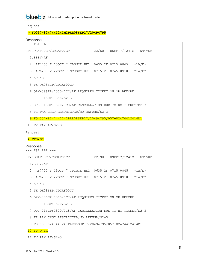Request

### **> FO057-8247441241M1PAR08SEP17/20494795**

Response

```
--- TST RLR ---
RP/CDGAF00CT/CDGAF00CT 22/SU 8SEP17/1241Z N9TVKB
  1.BBEV/AF
  2 AF7700 T 15OCT 7 CDGNCE HK1 0635 2F 0715 0845 *1A/E*
  3 AF6207 V 22OCT 7 NCEORY HK1 0715 2 0745 0910 *1A/E*
  4 AP NC
  5 TK OK08SEP/CDGAF00CT
  6 OPW-08SEP:1500/1C7/AF REQUIRES TICKET ON OR BEFORE
        11SEP:1500/S2-3
  7 OPC-11SEP:1500/1C8/AF CANCELLATION DUE TO NO TICKET/S2-3
  8 FE PAX CHGT RESTRICTED/NO REFUND/S2-3
  9 FO 057-8247441241PAR08SEP17/20494795/057-82474412414M1
 10 FV PAX AF/S2-3
```
Request

**> FPO/ER**

```
--- TST RLR ---
RP/CDGAF00CT/CDGAF00CT 22/SU 8SEP17/1241Z N9TVKB
  1.BBEV/AF
  2 AF7700 T 15OCT 7 CDGNCE HK1 0635 2F 0715 0845 *1A/E*
  3 AF6207 V 22OCT 7 NCEORY HK1 0715 2 0745 0910 *1A/E*
  4 AP NC
  5 TK OK08SEP/CDGAF00CT
  6 OPW-08SEP:1500/1C7/AF REQUIRES TICKET ON OR BEFORE
        11SEP:1500/S2-3
  7 OPC-11SEP:1500/1C8/AF CANCELLATION DUE TO NO TICKET/S2-3
  8 FE PAX CHGT RESTRICTED/NO REFUND/S2-3
  9 FO 057-8247441241PAR08SEP17/20494795/057-82474412414M1
 10 FP O/ER
 11 FV PAX AF/S2-3
```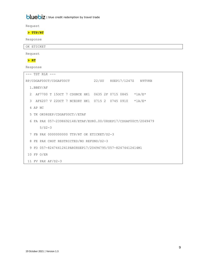Request

### **> TTP/RT**

Response

OK ETICKET

Request

### **> RT**

| --- TST RLR ---                                                |                                                                |  |  |  |  |  |  |  |  |
|----------------------------------------------------------------|----------------------------------------------------------------|--|--|--|--|--|--|--|--|
| RP/CDGAF00CT/CDGAF00CT                                         | 22/SU 8SEP17/1247Z N9TVKB                                      |  |  |  |  |  |  |  |  |
| 1.BBEV/AF                                                      |                                                                |  |  |  |  |  |  |  |  |
| AF7700 T 150CT 7 CDGNCE HK1 0635 2F 0715 0845<br>$\mathcal{L}$ | $*1A/E*$                                                       |  |  |  |  |  |  |  |  |
| 3<br>AF6207 V 220CT 7 NCEORY HK1 0715 2 0745 0910              | $*1A/E*$                                                       |  |  |  |  |  |  |  |  |
| 4 AP NC                                                        |                                                                |  |  |  |  |  |  |  |  |
| 5 TK OK08SEP/CDGAF00CT//ETAF                                   |                                                                |  |  |  |  |  |  |  |  |
|                                                                | 6 FA PAX 057-2398692148/ETAF/EUR0.00/08SEP17/CDGAF00CT/2049479 |  |  |  |  |  |  |  |  |
| $5/S2-3$                                                       |                                                                |  |  |  |  |  |  |  |  |
| 7 FB PAX 0000000000 TTP/RT OK ETICKET/S2-3                     |                                                                |  |  |  |  |  |  |  |  |
| 8 FE PAX CHGT RESTRICTED/NO REFUND/S2-3                        |                                                                |  |  |  |  |  |  |  |  |
| 9 FO 057-8247441241PAR08SEP17/20494795/057-82474412414M1       |                                                                |  |  |  |  |  |  |  |  |
| 10 FP O/ER                                                     |                                                                |  |  |  |  |  |  |  |  |
| 11 FV PAX AF/S2-3                                              |                                                                |  |  |  |  |  |  |  |  |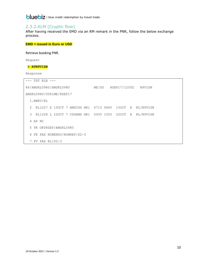### <span id="page-10-0"></span>2.3.2.KLM (Cryptic flow)

After having received the EMD via an RM remark in the PNR, follow the below exchange process.

### **EMD = issued in Euro or USD**

Retrieve booking PNR.

Request

### **> RTN9VISN**

| TST RLR                                            |                                 |  |  |  |  |  |  |
|----------------------------------------------------|---------------------------------|--|--|--|--|--|--|
| RP/AMSKL0980/AMSKL0980                             | 8SEP17/1250Z<br>ME/SU<br>N9VISN |  |  |  |  |  |  |
| AMSKL0980/0081ME/8SEP17                            |                                 |  |  |  |  |  |  |
| 1.BBEV/KL                                          |                                 |  |  |  |  |  |  |
| KL1227 X 150CT 7 AMSCDG HK1 0715 0840 150CT E<br>2 | KL/N9VISN                       |  |  |  |  |  |  |
| KL1228 L 220CT 7 CDGAMS HK1 0935 1055 220CT E<br>3 | KL/N9VISN                       |  |  |  |  |  |  |
| AP NC<br>4                                         |                                 |  |  |  |  |  |  |
| 5 TK OK08SEP/AMSKL0980                             |                                 |  |  |  |  |  |  |
| FE PAX NONENDO/NONREF/S2-3<br>6                    |                                 |  |  |  |  |  |  |
| 7 FV PAX $KL/S2-3$                                 |                                 |  |  |  |  |  |  |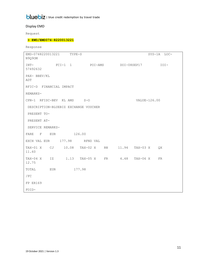### Display EMD

Request

### **> EWD/EMD074-8220013221**

Response

EMD-0748220013221 TYPE-S SYS-1A LOC-N9Q9OM INT- FCI-1 1 POI-AMS DOI-08SEP17 IOI-57492632 PAX- BBEV/KL ADT RFIC-D FINANCIAL IMPACT REMARKS-CPN-1 RFISC-BEV KL AMS S-O VALUE-126.00 DESCRIPTION-BLUEBIZ EXCHANGE VOUCHER PRESENT TO-PRESENT AT-SERVICE REMARKS-FARE F EUR 126.00 EXCH VAL EUR 177.98 RFND VAL TAX-01 X CJ 10.08 TAX-02 X RN 11.94 TAX-03 X QX 11.60 TAX-04 X IZ 1.13 TAX-05 X FR 4.48 TAX-06 X FR 12.75 TOTAL EUR 177.98 /FC FP ER169 FOID-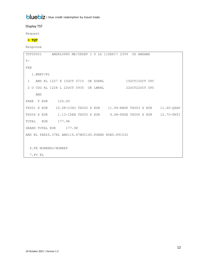Display TST

Request

### **> TQT**

| TST00001 AMSKL0980 ME/08SEP I 0 LD 11SEP17 2359 OD AMSAMS |                                       |  |                |  |
|-----------------------------------------------------------|---------------------------------------|--|----------------|--|
| $T -$                                                     |                                       |  |                |  |
| FXB                                                       |                                       |  |                |  |
| 1.BBEV/KL                                                 |                                       |  |                |  |
| $\mathbf{1}$                                              | AMS KL 1227 X 150CT 0715 OK XSRNL     |  | 150CT150CT 0PC |  |
|                                                           | 2 0 CDG KL 1228 L 220CT 0935 OK LWKNL |  | 220CT220CT 0PC |  |
| AMS                                                       |                                       |  |                |  |
| FARE F EUR                                                | 126.00                                |  |                |  |
|                                                           |                                       |  |                |  |
|                                                           |                                       |  |                |  |
| EUR<br>TOTAL                                              | 177.98                                |  |                |  |
| GRAND TOTAL EUR                                           | 177.98                                |  |                |  |
| AMS KL PAR26.37KL AMS114.47NUC140.84END ROE0.891032       |                                       |  |                |  |
|                                                           |                                       |  |                |  |
| 6. FE NONENDO/NONREF                                      |                                       |  |                |  |
| 7. FV KL                                                  |                                       |  |                |  |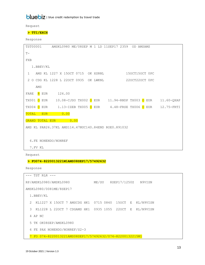Request

### **> TTI/EXCH**

Response

```
TST00001 AMSKL0980 ME/08SEP M 1 LD 11SEP17 2359 OD AMSAMS
T-FXB
   1.BBEV/KL
1 AMS KL 1227 X 15OCT 0715 OK XSRNL 15OCT15OCT 0PC
2 O CDG KL 1228 L 22OCT 0935 OK LWKNL 22OCT22OCT 0PC
     AMS
FARE R EUR 126.00
TX001 <mark>O</mark> EUR 10.08-CJSO TX002 <mark>O</mark> EUR 11.94-RNDP TX003 <mark>O</mark> EUR 11.60-QXAP
TX004 <mark>O</mark> EUR 1.13-IZEB TX005 O EUR 4.48-FRSE TX006 O EUR 12.75-FRTI
TOTAL EUR 0.00
GRAND TOTAL EUR 0.00
AMS KL PAR26.37KL AMS114.47NUC140.84END ROE0.891032
  6.FE NONENDO/NONREF
  7.FV KL
```
Request

### **> FO074-8220013221M1AMS08SEP17/57492632**

```
--- TST RLR ---
RP/AMSKL0980/AMSKL0980 ME/SU 8SEP17/1250Z N9VISN
AMSKL0980/0081ME/8SEP17
  1.BBEV/KL
  2 KL1227 X 15OCT 7 AMSCDG HK1 0715 0840 15OCT E KL/N9VISN
  3 KL1228 L 22OCT 7 CDGAMS HK1 0935 1055 22OCT E KL/N9VISN
  4 AP NC
  5 TK OK08SEP/AMSKL0980
  6 FE PAX NONENDO/NONREF/S2-3
  7 FO 074-8220013221AMS08SEP17/57492632/074-82200132215M1
```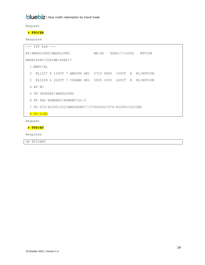Request

### **> FPO/ER**

Response

| TST RLR                                                                  |       |              |           |
|--------------------------------------------------------------------------|-------|--------------|-----------|
| RP/AMSKL0980/AMSKL0980                                                   | ME/SU | 8SEP17/1250Z | N9VISN    |
| AMSKL0980/0081ME/8SEP17                                                  |       |              |           |
| 1.BBEV/KL                                                                |       |              |           |
| $\mathcal{P}$<br>KL1227 X 150CT 7 AMSCDG HK1 0715 0840 150CT E KL/N9VISN |       |              |           |
| 3<br>KL1228 L 220CT 7 CDGAMS HK1 0935 1055 220CT E                       |       |              | KL/N9VISN |
| 4 AP NC                                                                  |       |              |           |
| 5 TK OK08SEP/AMSKL0980                                                   |       |              |           |
| FE PAX NONENDO/NONREF/S2-3<br>6                                          |       |              |           |
| 7 FO 074-8220013221AMS08SEP17/57492632/074-82200132215M1                 |       |              |           |
| $FP$ $O/ER$<br>8                                                         |       |              |           |
|                                                                          |       |              |           |

Request

### **> TTP/RT**

Response

OK ETICKET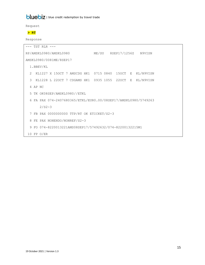Request

### **> RT**

|               |         | $---$ TST RLR $---$     |  |  |                                            |  |  |                                                          |                                                              |
|---------------|---------|-------------------------|--|--|--------------------------------------------|--|--|----------------------------------------------------------|--------------------------------------------------------------|
|               |         | RP/AMSKL0980/AMSKL0980  |  |  |                                            |  |  |                                                          | ME/SU 8SEP17/1256Z N9VISN                                    |
|               |         | AMSKL0980/0081ME/8SEP17 |  |  |                                            |  |  |                                                          |                                                              |
|               |         | 1.BBEV/KL               |  |  |                                            |  |  |                                                          |                                                              |
| $\mathcal{L}$ |         |                         |  |  |                                            |  |  |                                                          | KL1227 X 150CT 7 AMSCDG HK1 0715 0840 150CT E KL/N9VISN      |
| 3             |         |                         |  |  |                                            |  |  |                                                          | KL1228 L 220CT 7 CDGAMS HK1 0935 1055 220CT E KL/N9VISN      |
|               | 4 AP NC |                         |  |  |                                            |  |  |                                                          |                                                              |
|               |         |                         |  |  | 5 TK OK08SEP/AMSKL0980//ETKL               |  |  |                                                          |                                                              |
| 6             |         |                         |  |  |                                            |  |  |                                                          | FA PAX 074-2407680365/ETKL/EURO.00/08SEP17/AMSKL0980/5749263 |
|               |         | $2/S2-3$                |  |  |                                            |  |  |                                                          |                                                              |
|               |         |                         |  |  | 7 FB PAX 0000000000 TTP/RT OK ETICKET/S2-3 |  |  |                                                          |                                                              |
|               |         |                         |  |  | 8 FE PAX NONENDO/NONREF/S2-3               |  |  |                                                          |                                                              |
|               |         |                         |  |  |                                            |  |  | 9 FO 074-8220013221AMS08SEP17/57492632/074-82200132215M1 |                                                              |
|               |         | 10 FP O/ER              |  |  |                                            |  |  |                                                          |                                                              |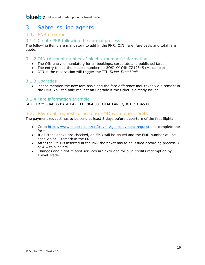# <span id="page-16-0"></span>3. Sabre issuing agents

### <span id="page-16-1"></span>3.1. PNR creation

### <span id="page-16-2"></span>3.1.1.Create PNR following the normal process

The following items are mandatory to add in the PNR: OIN, fare, fare basis and total fare quote.

### <span id="page-16-3"></span>3.1.2.OIN (Account number of bluebiz member) information

- The OIN entry is mandatory for all bookings, corporate and published fares.
- The entry to add the bluebiz number is: 3OSI YY OIN ZZ12345 (=example)
- OIN in the reservation will trigger the TTL *Ticket Time Limit*

### <span id="page-16-4"></span>3.1.3.Upgrades

 Please mention the new fare basis and the fare difference incl. taxes via a remark in the PNR. You can only request an upgrade if the ticket is already issued.

### <span id="page-16-5"></span>3.1.4.Fare information example

SI KL FB YS50ABLG BASE FARE EUR964.00 TOTAL FARE QUOTE: 1045.00

### <span id="page-16-6"></span>3.2. Payment request for issuing EMD with blue credits

The payment request has to be send at least 5 days before departure of the first flight:

- Go to<https://www.bluebiz.com/en/travel-Agent/payment-request> and complete the form.
- If all steps above are checked, an EMD will be issued and the EMD number will be send via SSR remark in the PNR.
- After the EMD is inserted in the PNR the ticket has to be issued according process 3 or 4 within 72 hrs.
- Changes and flight related services are excluded for blue credits redemption by Travel Trade.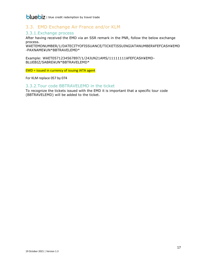### <span id="page-17-0"></span>3.3. EMD Exchange Air France and/or KLM

### <span id="page-17-1"></span>3.3.1.Exchange process

After having received the EMD via an SSR remark in the PNR, follow the below exchange process.

W¥ETEMDNUMBER/1/DATECITYOFISSUANCE/TICKETISSUINGIATANUMBER¥FEFCASH¥EMD -PAXNAME¥UN\*BBTRAVELEMD\*

Example: W¥ET0571234567897/1/24JUN21AMS/11111111¥FEFCASH¥EMD-BLUEBIZ/SABRE¥UN\*BBTRAVELEMD\*

EMD = issued in currency of issuing IATA agent

For KLM replace 057 by 074

### <span id="page-17-2"></span>3.3.2.Tour code BBTRAVELEMD in the ticket

To recognize the tickets issued with the EMD it is important that a specific tour code (BBTRAVELEMD) will be added to the ticket.